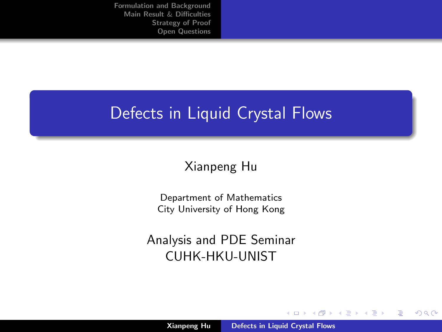## <span id="page-0-0"></span>Defects in Liquid Crystal Flows

## Xianpeng Hu

Department of Mathematics City University of Hong Kong

Analysis and PDE Seminar CUHK-HKU-UNIST

**K ロ ▶ K 倒 ▶** 

 $\rightarrow$   $\pm$ 

 $2Q$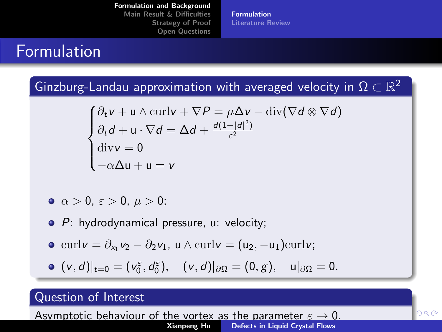[Formulation and Background](#page-1-0)

[Main Result](#page-8-0) & Difficulties [Strategy of Proof](#page-12-0) [Open Questions](#page-27-0) [Formulation](#page-1-0) [Literature Review](#page-3-0)

## <span id="page-1-0"></span>Formulation

Ginzburg-Landau approximation with averaged velocity in  $\Omega \subset \mathbb{R}^2$ 

$$
\begin{cases} \partial_t v + u \wedge \operatorname{curl} v + \nabla P = \mu \Delta v - \operatorname{div} (\nabla d \otimes \nabla d) \\ \partial_t d + u \cdot \nabla d = \Delta d + \frac{d(1 - |d|^2)}{\varepsilon^2} \\ \operatorname{div} v = 0 \\ -\alpha \Delta u + u = v \end{cases}
$$

- $\bullet \ \alpha > 0, \ \varepsilon > 0, \ \mu > 0;$
- **•** P: hydrodynamical pressure, u: velocity;
- $\text{curl}\mathbf{v} = \partial_{x_1}\mathbf{v}_2 \partial_2\mathbf{v}_1$ ,  $\mathbf{u} \wedge \text{curl}\mathbf{v} = (\mathbf{u}_2, -\mathbf{u}_1)\text{curl}\mathbf{v}$ ;

$$
\bullet \ \ (v,d)|_{t=0}=(v_0^{\varepsilon},d_0^{\varepsilon}), \quad (v,d)|_{\partial \Omega}=(0,g), \quad u|_{\partial \Omega}=0.
$$

### Question of Interest

Asymptotic behaviour of the vortex as the para[met](#page-0-0)e[r](#page-2-0)  $\varepsilon \to 0$  $\varepsilon \to 0$ [.](#page-0-0)<br>Xianpeng Hu [Defects in Liquid Crystal Flows](#page-0-0)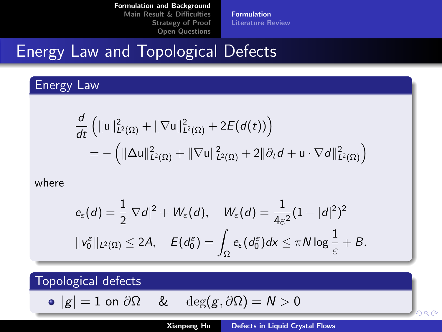[Formulation](#page-1-0) [Literature Review](#page-3-0)

# <span id="page-2-0"></span>Energy Law and Topological Defects

## Energy Law

$$
\frac{d}{dt} \left( \|u\|_{L^2(\Omega)}^2 + \|\nabla u\|_{L^2(\Omega)}^2 + 2E(d(t)) \right) \n= - \left( \|\Delta u\|_{L^2(\Omega)}^2 + \|\nabla u\|_{L^2(\Omega)}^2 + 2\|\partial_t d + u \cdot \nabla d\|_{L^2(\Omega)}^2 \right)
$$

where

$$
\begin{aligned} &e_\varepsilon(d)=\frac{1}{2}|\nabla d|^2+W_\varepsilon(d),\quad W_\varepsilon(d)=\frac{1}{4\varepsilon^2}(1-|d|^2)^2\\ &\|v_0^\varepsilon\|_{L^2(\Omega)}\leq 2A,\quad E(d_0^\varepsilon)=\int_\Omega e_\varepsilon(d_0^\varepsilon)dx\leq \pi N\log\frac{1}{\varepsilon}+B.\end{aligned}
$$

Topological defects

$$
\bullet \hspace{0.1cm} |g| = 1 \hspace{0.1cm} \textrm{on} \hspace{0.1cm} \partial \Omega \hspace{0.5cm} \& \hspace{0.5cm} \deg(g, \partial \Omega) = N > 0
$$

han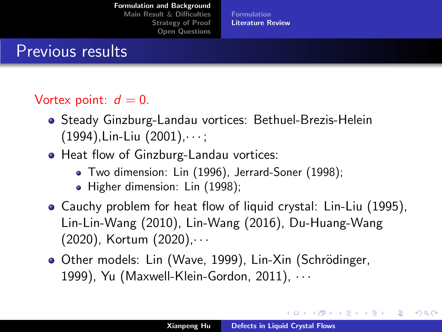[Formulation and Background](#page-1-0) [Main Result](#page-8-0) & Difficulties

> [Strategy of Proof](#page-12-0) [Open Questions](#page-27-0)

[Formulation](#page-1-0) [Literature Review](#page-3-0)

## <span id="page-3-0"></span>Previous results

### Vortex point:  $d = 0$ .

- Steady Ginzburg-Landau vortices: Bethuel-Brezis-Helein  $(1994)$ , Lin-Liu  $(2001)$ ,  $\cdots$ ;
- Heat flow of Ginzburg-Landau vortices:
	- Two dimension: Lin (1996), Jerrard-Soner (1998);
	- Higher dimension: Lin (1998);
- Cauchy problem for heat flow of liquid crystal: Lin-Liu (1995), Lin-Lin-Wang (2010), Lin-Wang (2016), Du-Huang-Wang (2020), Kortum (2020),· · ·
- Other models: Lin (Wave, 1999), Lin-Xin (Schrödinger, 1999), Yu (Maxwell-Klein-Gordon, 2011), · · ·

**≮ロト ⊀母 ト ⊀ ヨ ト ⊀ ヨ ト**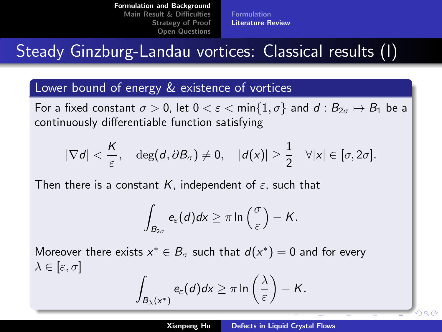[Formulation](#page-1-0) [Literature Review](#page-3-0)

# Steady Ginzburg-Landau vortices: Classical results (I)

### Lower bound of energy & existence of vortices

For a fixed constant  $\sigma > 0$ , let  $0 < \varepsilon < \min\{1, \sigma\}$  and  $d : B_{2\sigma} \mapsto B_1$  be a continuously differentiable function satisfying

$$
|\nabla d| < \frac{K}{\varepsilon}, \quad \deg(d, \partial B_{\sigma}) \neq 0, \quad |d(x)| \geq \frac{1}{2} \quad \forall |x| \in [\sigma, 2\sigma].
$$

Then there is a constant K, independent of  $\varepsilon$ , such that

$$
\int_{B_{2\sigma}} e_{\varepsilon}(d)dx \geq \pi \ln\left(\frac{\sigma}{\varepsilon}\right) - K.
$$

Moreover there exists  $x^* \in B_{\sigma}$  such that  $d(x^*) = 0$  and for every  $\lambda \in [\varepsilon, \sigma]$ 

$$
\int_{B_{\lambda}(x^*)} e_{\varepsilon}(d)dx \geq \pi \ln\left(\frac{\lambda}{\varepsilon}\right) - K.
$$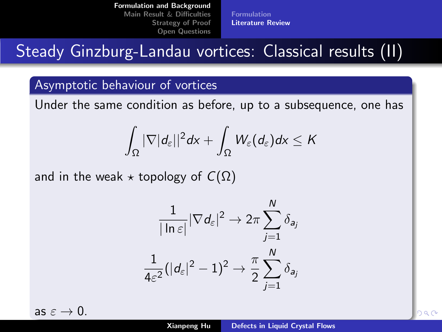[Formulation](#page-1-0) [Literature Review](#page-3-0)

# Steady Ginzburg-Landau vortices: Classical results (II)

### Asymptotic behaviour of vortices

Under the same condition as before, up to a subsequence, one has

$$
\int_{\Omega}|\nabla|d_{\varepsilon}||^{2}d\mathsf{x}+\int_{\Omega}W_{\varepsilon}(d_{\varepsilon})d\mathsf{x}\leq\mathsf{K}
$$

and in the weak  $\star$  topology of  $C(\Omega)$ 

$$
\frac{1}{|\ln \varepsilon|} |\nabla d_{\varepsilon}|^2 \to 2\pi \sum_{j=1}^N \delta_{a_j}
$$

$$
\frac{1}{4\varepsilon^2} (|d_{\varepsilon}|^2 - 1)^2 \to \frac{\pi}{2} \sum_{j=1}^N \delta_{a_j}
$$

as  $\varepsilon \to 0$ .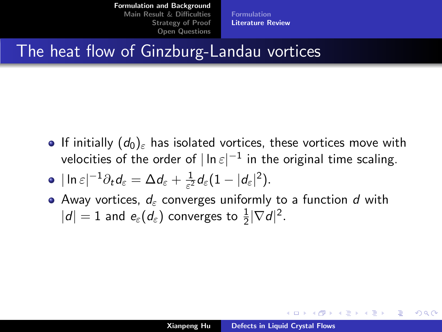[Formulation](#page-1-0) [Literature Review](#page-3-0)

## The heat flow of Ginzburg-Landau vortices

- **If initially**  $(d_0)_{\varepsilon}$  has isolated vortices, these vortices move with velocities of the order of  $|\ln\varepsilon|^{-1}$  in the original time scaling.
- $|\ln\varepsilon|^{-1}\partial_t d_\varepsilon = \Delta d_\varepsilon + \frac{1}{\varepsilon^2}$  $\frac{1}{\varepsilon^2}d_\varepsilon(1-|d_\varepsilon|^2).$
- Away vortices,  $d_{\varepsilon}$  converges uniformly to a function d with  $|d|=1$  and  $e_{\varepsilon}(d_{\varepsilon})$  converges to  $\frac{1}{2}|\nabla d|^2.$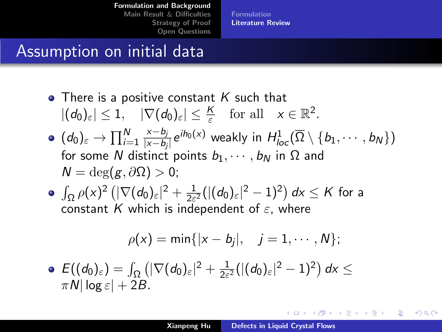[Formulation](#page-1-0) [Literature Review](#page-3-0)

## <span id="page-7-0"></span>Assumption on initial data

- There is a positive constant  $K$  such that  $|(d_0)_{\varepsilon}| \leq 1, \quad |\nabla(d_0)_{\varepsilon}| \leq \frac{K}{\varepsilon} \quad \text{for all} \quad x \in \mathbb{R}^2.$  $(d_0)_\varepsilon\to \prod_{i=1}^N$ x−b<sup>j</sup>  $\frac{x - b_j}{|x - b_j|} e^{i h_0(x)}$  weakly in  $H^1_{loc}(\overline{\Omega} \setminus \{b_1, \cdots, b_N\})$ for some N distinct points  $b_1, \dots, b_N$  in  $\Omega$  and  $N = \deg(g, \partial \Omega) > 0;$
- $\int_\Omega \rho(x)^2 \left( |\nabla (d_0)_\varepsilon|^2 + \frac{1}{2\varepsilon} \right)$  $\frac{1}{2\varepsilon^2}(|(d_0)_\varepsilon|^2-1)^2\big)\,d\mathsf{x}\leq\mathsf{K}$  for a constant K which is independent of  $\varepsilon$ , where

$$
\rho(x)=\min\{|x-b_j|, \quad j=1,\cdots,N\};
$$

 $E((d_0)_\varepsilon)=\int_\Omega\big(|\nabla(d_0)_\varepsilon|^2+\frac{1}{2\varepsilon}$  $\frac{1}{2\varepsilon^2}(|(d_0)_\varepsilon|^2-1)^2\big)\,d\mathsf{x}\leq$  $\pi N |\log \varepsilon| + 2B$ .

イロメ イ団メ イヨメ イヨメー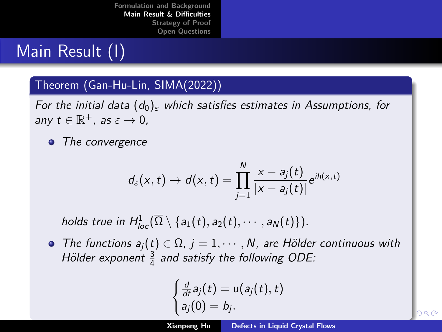## <span id="page-8-0"></span>Main Result (I)

### Theorem (Gan-Hu-Lin, SIMA(2022))

For the initial data  $(d_0)_{\varepsilon}$  which satisfies estimates in Assumptions, for any  $t \in \mathbb{R}^+$ , as  $\varepsilon \to 0$ ,

• The convergence

$$
d_{\varepsilon}(x,t) \to d(x,t) = \prod_{j=1}^N \frac{x-a_j(t)}{|x-a_j(t)|} e^{ih(x,t)}
$$

holds true in  $H^1_{loc}(\overline{\Omega}\setminus\{a_1(t),a_2(t),\cdots,a_N(t)\}).$ 

• The functions  $a_i(t) \in \Omega$ ,  $i = 1, \dots, N$ , are Hölder continuous with Hölder exponent  $\frac{3}{4}$  and satisfy the following ODE:

$$
\begin{cases} \frac{d}{dt}a_j(t) = \mathsf{u}(a_j(t), t) \\ a_j(0) = b_j. \end{cases}
$$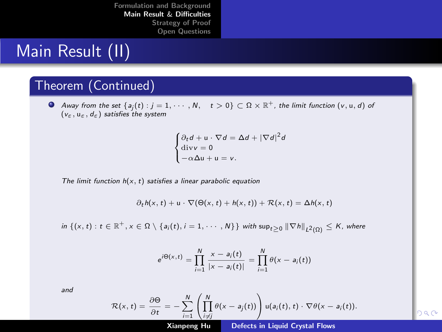## <span id="page-9-0"></span>Main Result (II)

### Theorem (Continued)

Away from the set  $\{a_j(t):j=1,\cdots,N,\quad t>0\}\subset \Omega\times\mathbb{R}^+$ , the limit function  $(\mathsf{v},\mathsf{u},\mathsf{d})$  of  $(v_{\varepsilon}, u_{\varepsilon}, d_{\varepsilon})$  satisfies the system

$$
\begin{cases} \partial_t d + \mathbf{u} \cdot \nabla d = \Delta d + |\nabla d|^2 d \\ \text{div} \mathbf{v} = 0 \\ -\alpha \Delta \mathbf{u} + \mathbf{u} = \mathbf{v}. \end{cases}
$$

The limit function  $h(x, t)$  satisfies a linear parabolic equation

$$
\partial_t h(x, t) + u \cdot \nabla (\Theta(x, t) + h(x, t)) + \mathcal{R}(x, t) = \Delta h(x, t)
$$

 $\inf\:\left\{(x,t):\,t\in\mathbb R^+,x\in\Omega\setminus\{a_i(t),i=1,\cdots,N\}\right\}\:\text{with sup}_{t\geq0}\left\|\nabla h\right\|_{L^2(\Omega)}\leq K\text{, where}$ 

$$
e^{i\Theta(x,t)} = \prod_{i=1}^{N} \frac{x - a_i(t)}{|x - a_i(t)|} = \prod_{i=1}^{N} \theta(x - a_i(t))
$$

and

$$
\mathcal{R}(x,t) = \frac{\partial \Theta}{\partial t} = -\sum_{i=1}^N \left( \prod_{i \neq j}^N \theta(x - a_j(t)) \right) u(a_i(t),t) \cdot \nabla \theta(x - a_i(t)).
$$

Xianpeng Hu [Defects in Liquid Crystal Flows](#page-0-0)

 $\overline{1}$  $\overline{0}$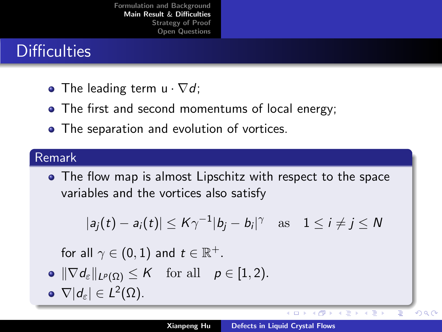## <span id="page-10-0"></span>**Difficulties**

- The leading term  $u \cdot \nabla d$ ;
- The first and second momentums of local energy;
- The separation and evolution of vortices.

### Remark

The flow map is almost Lipschitz with respect to the space variables and the vortices also satisfy

$$
|a_j(t) - a_i(t)| \leq K\gamma^{-1}|b_j - b_i|^\gamma \quad \text{as} \quad 1 \leq i \neq j \leq N
$$

for all  $\gamma \in (0,1)$  and  $t \in \mathbb{R}^+$ .

- $\|\nabla d_{\varepsilon}\|_{L^p(\Omega)} \leq K$  for all  $p \in [1, 2)$ .
- $\nabla |d_{\varepsilon}| \in L^2(\Omega).$

イロト イ押ト イミト イミト

 $290$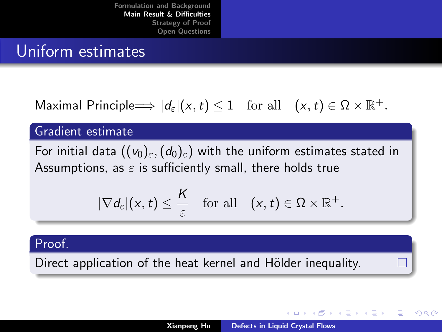## <span id="page-11-0"></span>Uniform estimates

Maximal Principle  $\Longrightarrow |d_{\varepsilon}|(x,t) \leq 1$  for all  $(x,t) \in \Omega \times \mathbb{R}^+$ .

### Gradient estimate

For initial data  $((v_0)_{\varepsilon},(d_0)_{\varepsilon})$  with the uniform estimates stated in Assumptions, as  $\varepsilon$  is sufficiently small, there holds true

$$
|\nabla d_{\varepsilon}|(x,t) \leq \frac{K}{\varepsilon} \quad \text{for all} \quad (x,t) \in \Omega \times \mathbb{R}^+.
$$

### Proof.

Direct application of the heat kernel and Hölder inequality.

メロト メタト メミト メミト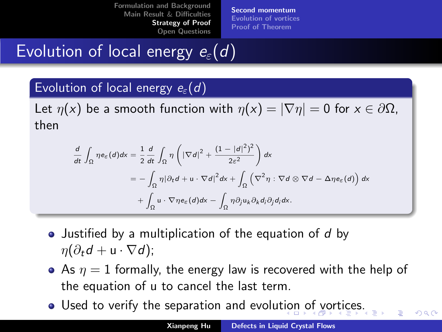[Second momentum](#page-12-0) [Evolution of vortices](#page-17-0) [Proof of Theorem](#page-23-0)

# <span id="page-12-0"></span>Evolution of local energy  $e_{\varepsilon}(d)$

### Evolution of local energy  $e_{\varepsilon}(d)$

Let  $\eta(x)$  be a smooth function with  $\eta(x) = |\nabla \eta| = 0$  for  $x \in \partial \Omega$ , then

$$
\frac{d}{dt} \int_{\Omega} \eta e_{\varepsilon}(d) dx = \frac{1}{2} \frac{d}{dt} \int_{\Omega} \eta \left( |\nabla d|^2 + \frac{(1 - |d|^2)^2}{2\varepsilon^2} \right) dx
$$
  
\n
$$
= - \int_{\Omega} \eta |\partial_t d + u \cdot \nabla d|^2 dx + \int_{\Omega} \left( \nabla^2 \eta : \nabla d \otimes \nabla d - \Delta \eta e_{\varepsilon}(d) \right) dx
$$
  
\n
$$
+ \int_{\Omega} u \cdot \nabla \eta e_{\varepsilon}(d) dx - \int_{\Omega} \eta \partial_j u_k \partial_k d_i \partial_j d_j dx.
$$

- Justified by a multiplication of the equation of d by  $\eta(\partial_t d + u \cdot \nabla d)$ ;
- As  $\eta = 1$  formally, the energy law is recovered with the help of the equation of u to cancel the last term.
- Used to verify the separation and evolu[tio](#page-11-0)[n o](#page-13-0)[f](#page-11-0) [v](#page-12-0)[or](#page-13-0)[t](#page-11-0)[ic](#page-12-0)[e](#page-16-0)[s](#page-17-0)[.](#page-11-0)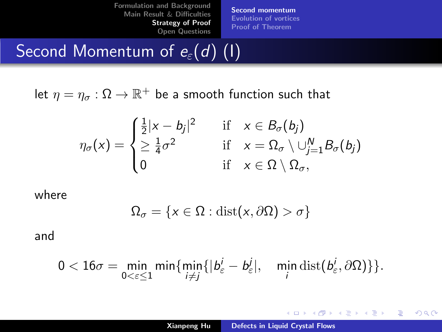[Second momentum](#page-12-0) [Evolution of vortices](#page-17-0) [Proof of Theorem](#page-23-0)

# <span id="page-13-0"></span>Second Momentum of  $e_{\varepsilon}(d)$  (1)

let  $\eta=\eta_\sigma:\Omega\to\mathbb{R}^+$  be a smooth function such that

$$
\eta_{\sigma}(x) = \begin{cases} \frac{1}{2}|x - b_j|^2 & \text{if } x \in B_{\sigma}(b_j) \\ \geq \frac{1}{4}\sigma^2 & \text{if } x = \Omega_{\sigma} \setminus \cup_{j=1}^N B_{\sigma}(b_j) \\ 0 & \text{if } x \in \Omega \setminus \Omega_{\sigma}, \end{cases}
$$

where

$$
\Omega_{\sigma} = \{x \in \Omega : \text{dist}(x, \partial \Omega) > \sigma\}
$$

and

$$
0<16\sigma=\min_{0<\varepsilon\leq 1}\min\{\min_{i\neq j}\{|b^{i}_{\varepsilon}-b^{j}_{\varepsilon}|,\quad \min_{i}\text{dist}(b^{i}_{\varepsilon},\partial\Omega)\}\}.
$$

**K ロ ▶ K 御 ▶ K 君 ▶ K 君 ▶** 

重

 $2Q$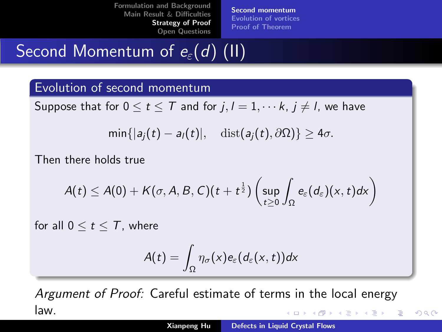[Second momentum](#page-12-0) [Evolution of vortices](#page-17-0) [Proof of Theorem](#page-23-0)

# Second Momentum of  $e_{\varepsilon}(d)$  (II)

### Evolution of second momentum

Suppose that for  $0 \le t \le T$  and for  $j, l = 1, \dots k, j \ne l$ , we have

$$
\min\{|a_j(t)-a_l(t)|,\quad \mathrm{dist}(a_j(t),\partial\Omega)\}\geq 4\sigma.
$$

Then there holds true

$$
A(t)\leq A(0)+K(\sigma,A,B,C)(t+t^{\frac{1}{2}})\left(\sup_{t\geq 0}\int_{\Omega}e_{\varepsilon}(d_{\varepsilon})(x,t)dx\right)
$$

for all  $0 \le t \le T$ , where

$$
A(t)=\int_{\Omega}\eta_{\sigma}(x)e_{\varepsilon}(d_{\varepsilon}(x,t))dx
$$

Argument of Proof: Careful estimate of terms in the local energy law. メロメ メ御 メメ ヨメ メヨメー

 $\Omega$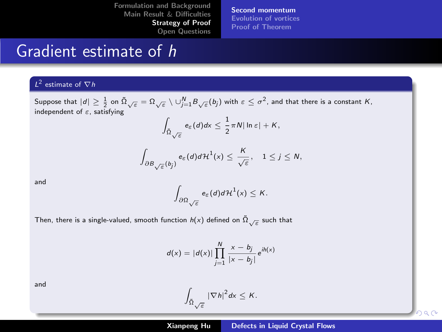[Open Questions](#page-27-0)

[Second momentum](#page-12-0) [Evolution of vortices](#page-17-0) [Proof of Theorem](#page-23-0)

## Gradient estimate of h

#### $L^2$  estimate of  $\nabla h$

Suppose that  $|d|\geq \frac{1}{2}$  on  $\tilde{\Omega}_{\sqrt{\varepsilon}}=\Omega_{\sqrt{\varepsilon}}\setminus \cup_{j=1}^N B_{\sqrt{\varepsilon}}(b_j)$  with  $\varepsilon\leq \sigma^2$ , and that there is a constant  $K$ , independent of  $\varepsilon$ , satisfying

$$
\int_{\tilde{\Omega}\sqrt{\varepsilon}}e_{\varepsilon}(d)dx\leq \frac{1}{2}\pi N|\ln \varepsilon|+K,
$$

$$
\int_{\partial B_{\sqrt{\varepsilon}}(b_j)} e_{\varepsilon}(d) d\mathcal{H}^1(x) \leq \frac{K}{\sqrt{\varepsilon}}, \quad 1 \leq j \leq N,
$$

and Zincoln and Zincoln and Zincoln and Zincoln and Zincoln and Zincoln and Zincoln and Zincoln and Zincoln an<br>Zincoln and Zincoln and Zincoln and Zincoln and Zincoln and Zincoln and Zincoln and Zincoln and Zincoln and Zi

$$
\int_{\partial\Omega_{\sqrt{\varepsilon}}} e_{\varepsilon}(d) d\mathcal{H}^{1}(x) \leq K.
$$

Then, there is a single-valued, smooth function  $h(x)$  defined on  $\tilde{\Omega}_{\sqrt{\varepsilon}}$  such that

$$
d(x) = |d(x)| \prod_{j=1}^{N} \frac{x - b_j}{|x - b_j|} e^{ih(x)}
$$

and Zanada and Zanada and Zanada and Zanada and Zanada and Zanada and Zanada and Zanada and Zanada and Zanada<br>Zanada and Zanada and Zanada and Zanada and Zanada and Zanada and Zanada and Zanada and Zanada and Zanada and

$$
\int_{\tilde{\Omega}_{\sqrt{\varepsilon}}} |\nabla h|^2 dx \leq K.
$$

han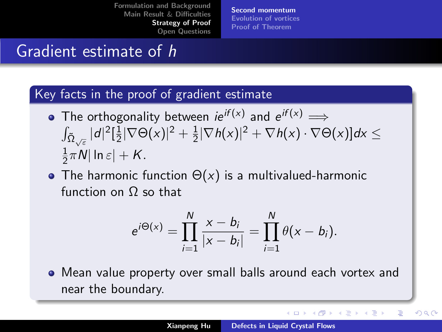[Second momentum](#page-12-0) [Evolution of vortices](#page-17-0) [Proof of Theorem](#page-23-0)

## <span id="page-16-0"></span>Gradient estimate of h

### Key facts in the proof of gradient estimate

- The orthogonality between  $ie^{if(x)}$  and  $e^{if(x)} \implies$  $\int_{\tilde{\Omega}_{\sqrt{\varepsilon}} } |d|^2 [\frac{1}{2}$  $\frac{1}{2}|\nabla\Theta(x)|^2 + \frac{1}{2}$  $\frac{1}{2}|\nabla h(x)|^2+\nabla h(x)\cdot\nabla\Theta(x)]dx\leq$  $\overline{1}$  $\frac{1}{2}\pi N|\ln \varepsilon| + K.$
- The harmonic function  $\Theta(x)$  is a multivalued-harmonic function on Ω so that

$$
e^{i\Theta(x)} = \prod_{i=1}^{N} \frac{x - b_i}{|x - b_i|} = \prod_{i=1}^{N} \theta(x - b_i).
$$

Mean value property over small balls around each vortex and near the boundary.

K ロ ⊁ K 倒 ≯ K ミ ⊁ K ミ ≯

つへへ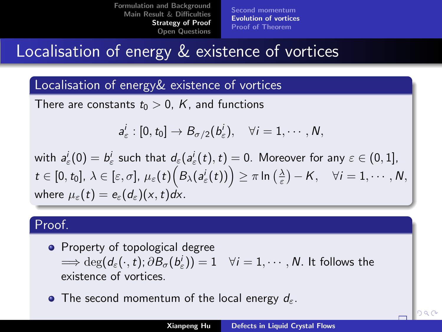[Second momentum](#page-12-0) [Evolution of vortices](#page-17-0) [Proof of Theorem](#page-23-0)

## <span id="page-17-0"></span>Localisation of energy & existence of vortices

### Localisation of energy& existence of vortices

There are constants  $t_0 > 0$ , K, and functions

$$
a^i_\varepsilon:[0,t_0]\to B_{\sigma/2}(b^i_\varepsilon),\quad \forall i=1,\cdots,N,
$$

with  $a_\varepsilon^i(0)=b_\varepsilon^i$  such that  $d_\varepsilon(a_\varepsilon^i(t),t)=0.$  Moreover for any  $\varepsilon\in(0,1],$  $t\in [0,t_0],\, \lambda\in [\varepsilon,\sigma],\, \mu_\varepsilon(t)\Big(B_\lambda(a_\varepsilon^i(t))\Big)\geq \pi \ln\big(\tfrac{\lambda}{\varepsilon}\big)-K,\quad \forall i=1,\cdots,N,$ where  $\mu_{\varepsilon}(t) = e_{\varepsilon}(d_{\varepsilon})(x,t)dx$ .

### Proof.

- Property of topological degree  $\Longrightarrow \deg (d_{\varepsilon}(\cdot,t); \partial \mathcal{B}_{\sigma}(b^{i}_{\varepsilon}))=1 \quad \forall i=1,\cdots,N.$  It follows the existence of vortices.
- The second momentum of the local energy  $d_{\varepsilon}$ .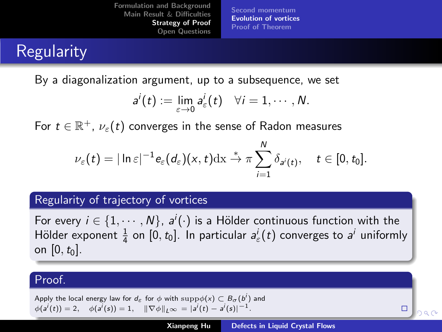[Second momentum](#page-12-0) [Evolution of vortices](#page-17-0) [Proof of Theorem](#page-23-0)

# <span id="page-18-0"></span>**Regularity**

By a diagonalization argument, up to a subsequence, we set

$$
a^i(t) := \lim_{\varepsilon \to 0} a^i_{\varepsilon}(t) \quad \forall i = 1, \cdots, N.
$$

For  $t\in \mathbb{R}^+$ ,  $\nu_\varepsilon(t)$  converges in the sense of Radon measures

$$
\nu_{\varepsilon}(t)=|\ln \varepsilon|^{-1}e_{\varepsilon}(d_{\varepsilon})(x,t)\mathrm{dx} \overset{*}{\to} \pi \sum_{i=1}^N \delta_{a^i(t)}, \quad t \in [0,t_0].
$$

### Regularity of trajectory of vortices

For every  $i\in\{1,\cdots,N\}$ ,  $a^i(\cdot)$  is a Hölder continuous function with the Hölder exponent  $\frac{1}{4}$  on  $[0, t_0]$ . In particular  $a_{\varepsilon}^i(t)$  converges to  $a^i$  uniformly on  $[0, t_0]$ .

### Proof.

Apply the local energy law for  $d_\varepsilon$  for  $\phi$  with  $\mathrm{supp}\phi(x)\subset B_\sigma(b^i)$  and  $\phi(a^i(t)) = 2, \quad \phi(a^i(s)) = 1, \quad \|\nabla \phi\|_{L^\infty} = |a^i(t) - a^i(s)|^{-1}.$ 

 $\Box$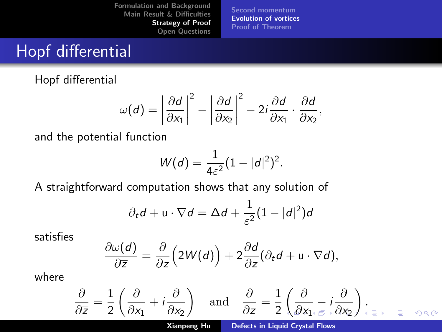[Second momentum](#page-12-0) [Evolution of vortices](#page-17-0) [Proof of Theorem](#page-23-0)

## <span id="page-19-0"></span>Hopf differential

Hopf differential

$$
\omega(d) = \left| \frac{\partial d}{\partial x_1} \right|^2 - \left| \frac{\partial d}{\partial x_2} \right|^2 - 2i \frac{\partial d}{\partial x_1} \cdot \frac{\partial d}{\partial x_2},
$$

and the potential function

$$
W(d) = \frac{1}{4\varepsilon^2} (1 - |d|^2)^2.
$$

A straightforward computation shows that any solution of

$$
\partial_t d + \mathbf{u} \cdot \nabla d = \Delta d + \frac{1}{\varepsilon^2} (1 - |d|^2) d
$$

satisfies

$$
\frac{\partial \omega(d)}{\partial \overline{z}} = \frac{\partial}{\partial z} \Big( 2W(d) \Big) + 2 \frac{\partial d}{\partial z} (\partial_t d + \mathbf{u} \cdot \nabla d),
$$

where

$$
\frac{\partial}{\partial \overline{z}} = \frac{1}{2} \left( \frac{\partial}{\partial x_1} + i \frac{\partial}{\partial x_2} \right) \quad \text{and} \quad \frac{\partial}{\partial z} = \frac{1}{2} \left( \frac{\partial}{\partial x_1} + i \frac{\partial}{\partial x_2} \right) \Big|_{z = z} \quad \text{and} \quad z = \frac{1}{2} \left( \frac{\partial}{\partial x_1} + i \frac{\partial}{\partial x_2} \right) \Big|_{z = z} \quad \text{and} \quad z = \frac{1}{2} \left( \frac{\partial}{\partial x_1} + i \frac{\partial}{\partial x_2} \right) \Big|_{z = z} \quad \text{and} \quad z = \frac{1}{2} \left( \frac{\partial}{\partial x_1} + i \frac{\partial}{\partial x_2} \right) \Big|_{z = z} \quad \text{and} \quad z = \frac{1}{2} \left( \frac{\partial}{\partial x_1} + i \frac{\partial}{\partial x_2} \right) \Big|_{z = z} \quad \text{and} \quad z = \frac{1}{2} \left( \frac{\partial}{\partial x_1} + i \frac{\partial}{\partial x_2} \right) \Big|_{z = z} \quad \text{and} \quad z = \frac{1}{2} \left( \frac{\partial}{\partial x_1} + i \frac{\partial}{\partial x_2} \right) \Big|_{z = z} \quad \text{and} \quad z = \frac{1}{2} \left( \frac{\partial}{\partial x_1} + i \frac{\partial}{\partial x_2} \right) \Big|_{z = z} \quad \text{and} \quad z = \frac{1}{2} \left( \frac{\partial}{\partial x_1} + i \frac{\partial}{\partial x_2} \right) \Big|_{z = z} \quad \text{and} \quad z = \frac{1}{2} \left( \frac{\partial}{\partial x_1} + i \frac{\partial}{\partial x_2} \right) \Big|_{z = z} \quad \text{and} \quad z = \frac{1}{2} \left( \frac{\partial}{\partial x_1} + i \frac{\partial}{\partial x_2} \right) \Big|_{z = z} \quad \text{and} \quad z = \frac{1}{2} \left( \frac{\partial}{\partial x_1} + i \frac{\partial}{\partial x_2} \right) \Big|_{z = z} \quad \text{and} \quad z = \frac{1}{2} \left( \frac{\partial}{\partial x
$$

Xianpeng Hu [Defects in Liquid Crystal Flows](#page-0-0)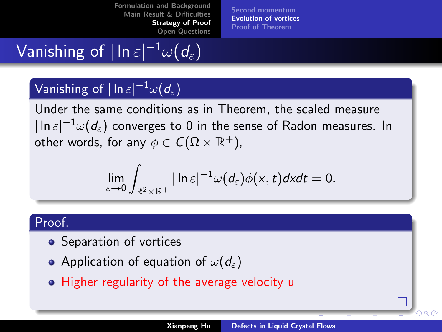[Open Questions](#page-27-0)

[Second momentum](#page-12-0) [Evolution of vortices](#page-17-0) [Proof of Theorem](#page-23-0)

# <span id="page-20-0"></span>Vanishing of  $|\ln\varepsilon|^{-1}\omega(d_\varepsilon)$

## Vanishing of  $|\ln\varepsilon|^{-1}\omega(d_\varepsilon)$

Under the same conditions as in Theorem, the scaled measure  $|\ln\varepsilon|^{-1}\omega(d_\varepsilon)$  converges to 0 in the sense of Radon measures. In other words, for any  $\phi \in \mathcal{C}(\Omega\times \mathbb{R}^+),$ 

$$
\lim_{\varepsilon\to 0}\int_{\mathbb{R}^2\times\mathbb{R}^+}|\ln\varepsilon|^{-1}\omega(d_{\varepsilon})\phi(x,t)dxdt=0.
$$

### Proof.

- Separation of vortices
- Application of equation of  $\omega(d_{\varepsilon})$
- Higher regularity of the average velocity u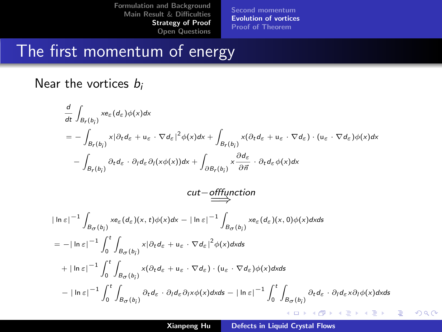[Second momentum](#page-12-0) [Evolution of vortices](#page-17-0) [Proof of Theorem](#page-23-0)

## The first momentum of energy

### Near the vortices  $b_i$

$$
\frac{d}{dt} \int_{B_r(b_j)} x e_{\varepsilon} (d_{\varepsilon}) \phi(x) dx
$$
\n
$$
= - \int_{B_r(b_j)} x |\partial_t d_{\varepsilon} + u_{\varepsilon} \cdot \nabla d_{\varepsilon}|^2 \phi(x) dx + \int_{B_r(b_j)} x (\partial_t d_{\varepsilon} + u_{\varepsilon} \cdot \nabla d_{\varepsilon}) \cdot (u_{\varepsilon} \cdot \nabla d_{\varepsilon}) \phi(x) dx
$$
\n
$$
- \int_{B_r(b_j)} \partial_t d_{\varepsilon} \cdot \partial_t d_{\varepsilon} \partial_t (x \phi(x)) dx + \int_{\partial B_r(b_j)} x \frac{\partial d_{\varepsilon}}{\partial \overline{n}} \cdot \partial_t d_{\varepsilon} \phi(x) dx
$$
\n
$$
cut - \underbrace{off function}_{B_{\sigma}(b_j)} \chi e_{\varepsilon} (d_{\varepsilon}) (x, t) \phi(x) dx - |\ln \varepsilon|^{-1} \int_{B_{\sigma}(b_j)} x e_{\varepsilon} (d_{\varepsilon}) (x, 0) \phi(x) dx ds
$$
\n
$$
= - |\ln \varepsilon|^{-1} \int_0^t \int_{B_{\sigma}(b_j)} x |\partial_t d_{\varepsilon} + u_{\varepsilon} \cdot \nabla d_{\varepsilon}|^2 \phi(x) dx ds
$$
\n
$$
+ |\ln \varepsilon|^{-1} \int_0^t \int_{B_{\sigma}(b_j)} x (\partial_t d_{\varepsilon} + u_{\varepsilon} \cdot \nabla d_{\varepsilon}) \cdot (u_{\varepsilon} \cdot \nabla d_{\varepsilon}) \phi(x) dx ds
$$
\n
$$
- |\ln \varepsilon|^{-1} \int_0^t \int_{B_{\sigma}(b_j)} \partial_t d_{\varepsilon} \cdot \partial_t d_{\varepsilon} \partial_t x \phi(x) dx ds - |\ln \varepsilon|^{-1} \int_0^t \int_{B_{\sigma}(b_j)} \partial_t d_{\varepsilon} \cdot \partial_t d_{\varepsilon} \partial_t x \partial_t \phi(x) dx ds
$$
\n
$$
+ |\ln \varepsilon|^{-1} \int_0^t \int_{B_{\sigma}(b_j)} \partial_t d_{\varepsilon} \cdot \partial_t d_{\varepsilon} \partial_t x \phi(x) dx ds - |\ln \varepsilon|^{-1} \int
$$

 $2Q$ 

€

4.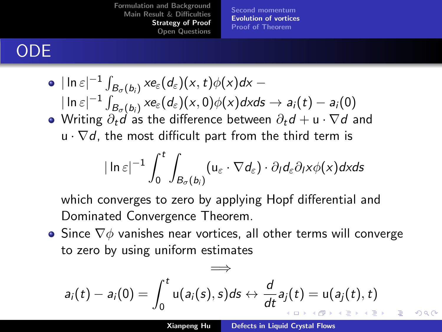[Second momentum](#page-12-0) [Evolution of vortices](#page-17-0) [Proof of Theorem](#page-23-0)

# <span id="page-22-0"></span>ODE

\n- \n
$$
|\ln \varepsilon|^{-1} \int_{B_{\sigma}(b_i)} x e_{\varepsilon}(d_{\varepsilon})(x, t) \phi(x) dx - |\ln \varepsilon|^{-1} \int_{B_{\sigma}(b_i)} x e_{\varepsilon}(d_{\varepsilon})(x, 0) \phi(x) dx ds \to a_i(t) - a_i(0)
$$
\n
\n- \n Writing  $\partial_t d$  as the difference between  $\partial_t d + u \cdot \nabla d$  and  $u \cdot \nabla d$ , the most difficult part from the third term is\n
\n

$$
|\ln \varepsilon|^{-1}\int_0^t\int_{B_\sigma(b_i)}(u_\varepsilon\cdot \nabla d_\varepsilon)\cdot \partial_l d_\varepsilon \partial_l x \phi(x) dx ds
$$

which converges to zero by applying Hopf differential and Dominated Convergence Theorem.

• Since  $\nabla\phi$  vanishes near vortices, all other terms will converge to zero by using uniform estimates

$$
a_i(t) - a_i(0) = \int_0^t u(a_i(s), s)ds \leftrightarrow \frac{d}{dt}a_j(t) = u(a_j(t), t)
$$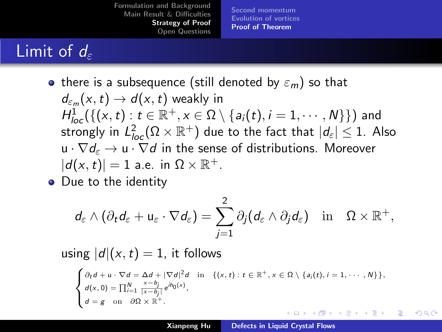[Second momentum](#page-12-0) [Evolution of vortices](#page-17-0) [Proof of Theorem](#page-23-0)

# <span id="page-23-0"></span>Limit of  $d_{\varepsilon}$

- there is a subsequence (still denoted by  $\varepsilon_m$ ) so that  $d_{\varepsilon_m}(\mathsf{x},t) \to d(\mathsf{x},t)$  weakly in  $H_{loc}^1(\{(x,t): t\in \mathbb{R}^+, x\in \Omega\setminus \{a_i(t), i=1,\cdots,N\}\})$  and strongly in  $L^2_{loc}(\Omega\times \mathbb R^+)$  due to the fact that  $|d_\varepsilon|\leq 1.$  Also  $u \cdot \nabla d_{\varepsilon} \to u \cdot \nabla d$  in the sense of distributions. Moreover  $|d(x, t)| = 1$  a.e. in  $\Omega \times \mathbb{R}^+$ .
- Due to the identity

$$
d_{\varepsilon} \wedge (\partial_t d_{\varepsilon} + u_{\varepsilon} \cdot \nabla d_{\varepsilon}) = \sum_{j=1}^2 \partial_j (d_{\varepsilon} \wedge \partial_j d_{\varepsilon}) \quad \text{in} \quad \Omega \times \mathbb{R}^+,
$$

using  $|d|(x,t) = 1$ , it follows

$$
\begin{cases}\n\partial_t d + u \cdot \nabla d = \Delta d + |\nabla d|^2 d & \text{in} \quad \{(x, t) : t \in \mathbb{R}^+, x \in \Omega \setminus \{a_i(t), i = 1, \cdots, N\}\}, \\
d(x, 0) = \prod_{i=1}^N \frac{x - b_i}{|x - b_i|} e^{ib_0(x)}, \\
d = g \quad \text{on} \quad \partial \Omega \times \mathbb{R}^+. \n\end{cases}
$$

 $\Omega$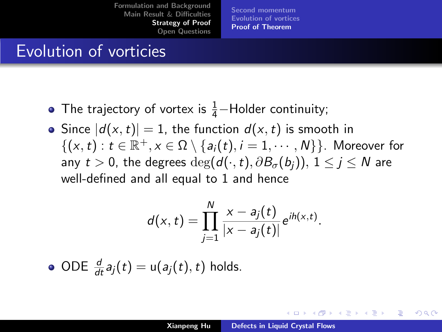[Second momentum](#page-12-0) [Evolution of vortices](#page-17-0) [Proof of Theorem](#page-23-0)

## Evolution of vorticies

- The trajectory of vortex is  $\frac{1}{4}$ -Holder continuity;
- Since  $|d(x, t)| = 1$ , the function  $d(x, t)$  is smooth in  $\{(x,t): t \in \mathbb{R}^+, x \in \Omega \setminus \{a_i(t), i = 1, \cdots, N\}\}.$  Moreover for any  $t > 0$ , the degrees  $\deg(d(\cdot, t), \partial B_{\sigma}(b_i))$ ,  $1 \leq i \leq N$  are well-defined and all equal to 1 and hence

$$
d(x,t)=\prod_{j=1}^N\frac{x-a_j(t)}{|x-a_j(t)|}e^{ih(x,t)}.
$$

ODE  $\frac{d}{dt}a_j(t) = u(a_j(t), t)$  holds.

イロメ イタメ オラメ ラメ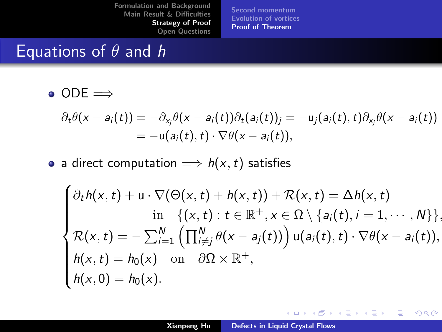[Second momentum](#page-12-0) [Evolution of vortices](#page-17-0) [Proof of Theorem](#page-23-0)

## Equations of  $\theta$  and h

 $\bullet$  ODE  $\Longrightarrow$ 

$$
\partial_t \theta(x - a_i(t)) = -\partial_{x_j} \theta(x - a_i(t)) \partial_t (a_i(t))_j = -u_j(a_i(t), t) \partial_{x_j} \theta(x - a_i(t))
$$
  
= 
$$
-u(a_i(t), t) \cdot \nabla \theta(x - a_i(t)),
$$

• a direct computation  $\implies h(x, t)$  satisfies

$$
\begin{cases}\n\partial_t h(x,t) + u \cdot \nabla(\Theta(x,t) + h(x,t)) + \mathcal{R}(x,t) = \Delta h(x,t) \\
\text{in } \{(x,t) : t \in \mathbb{R}^+, x \in \Omega \setminus \{a_i(t), i = 1, \cdots, N\}\}, \\
\mathcal{R}(x,t) = -\sum_{i=1}^N \left(\prod_{i \neq j}^N \theta(x-a_j(t))\right) u(a_i(t),t) \cdot \nabla \theta(x-a_i(t)), \\
h(x,t) = h_0(x) \text{ on } \partial \Omega \times \mathbb{R}^+, \\
h(x,0) = h_0(x).\n\end{cases}
$$

イロメ イ母メ イヨメ イヨメー

重

 $2Q$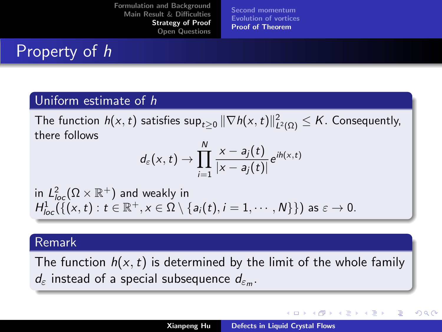[Second momentum](#page-12-0) [Evolution of vortices](#page-17-0) [Proof of Theorem](#page-23-0)

## Property of h

### Uniform estimate of h

The function  $h(x,t)$  satisfies  $\sup_{t\geq 0} \|\nabla h(x,t)\|_{L^2(\Omega)}^2 \leq K.$  Consequently, there follows

$$
d_{\varepsilon}(x,t) \to \prod_{i=1}^N \frac{x-a_j(t)}{|x-a_j(t)|} e^{ih(x,t)}
$$

in  $L^2_{loc}(\Omega\times \mathbb{R}^+)$  and weakly in  $H^1_{loc}(\{(x,t): t\in \mathbb{R}^+, x\in \Omega\setminus \{a_i(t), i=1,\cdots,N\}\})$  as  $\varepsilon\to 0.$ 

### Remark

The function  $h(x, t)$  is determined by the limit of the whole family  $d_{\varepsilon}$  instead of a special subsequence  $d_{\varepsilon_m}.$ 

メロト メタト メミト メミト

 $\Omega$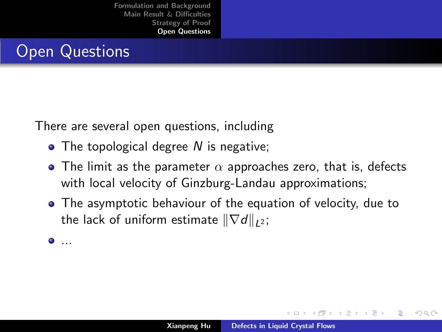## <span id="page-27-0"></span>Open Questions

There are several open questions, including

- The topological degree N is negative;
- $\bullet$  The limit as the parameter  $\alpha$  approaches zero, that is, defects with local velocity of Ginzburg-Landau approximations;
- The asymptotic behaviour of the equation of velocity, due to the lack of uniform estimate  $\|\nabla d\|_{L^2}$ ;

...

イロト イ押 トイラト

つくい